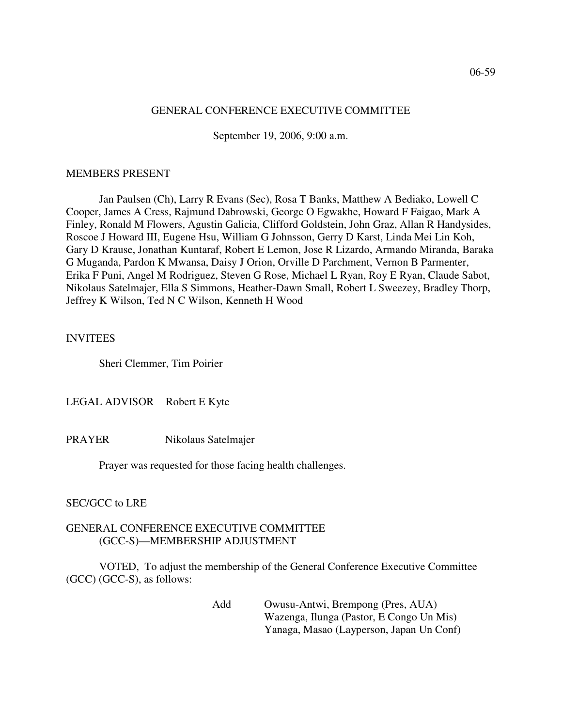#### 06-59

#### GENERAL CONFERENCE EXECUTIVE COMMITTEE

September 19, 2006, 9:00 a.m.

#### MEMBERS PRESENT

Jan Paulsen (Ch), Larry R Evans (Sec), Rosa T Banks, Matthew A Bediako, Lowell C Cooper, James A Cress, Rajmund Dabrowski, George O Egwakhe, Howard F Faigao, Mark A Finley, Ronald M Flowers, Agustin Galicia, Clifford Goldstein, John Graz, Allan R Handysides, Roscoe J Howard III, Eugene Hsu, William G Johnsson, Gerry D Karst, Linda Mei Lin Koh, Gary D Krause, Jonathan Kuntaraf, Robert E Lemon, Jose R Lizardo, Armando Miranda, Baraka G Muganda, Pardon K Mwansa, Daisy J Orion, Orville D Parchment, Vernon B Parmenter, Erika F Puni, Angel M Rodriguez, Steven G Rose, Michael L Ryan, Roy E Ryan, Claude Sabot, Nikolaus Satelmajer, Ella S Simmons, Heather-Dawn Small, Robert L Sweezey, Bradley Thorp, Jeffrey K Wilson, Ted N C Wilson, Kenneth H Wood

# INVITEES

Sheri Clemmer, Tim Poirier

LEGAL ADVISOR Robert E Kyte

PRAYER Nikolaus Satelmajer

Prayer was requested for those facing health challenges.

SEC/GCC to LRE

### GENERAL CONFERENCE EXECUTIVE COMMITTEE (GCC-S)—MEMBERSHIP ADJUSTMENT

VOTED, To adjust the membership of the General Conference Executive Committee (GCC) (GCC-S), as follows:

> Add Owusu-Antwi, Brempong (Pres, AUA) Wazenga, Ilunga (Pastor, E Congo Un Mis) Yanaga, Masao (Layperson, Japan Un Conf)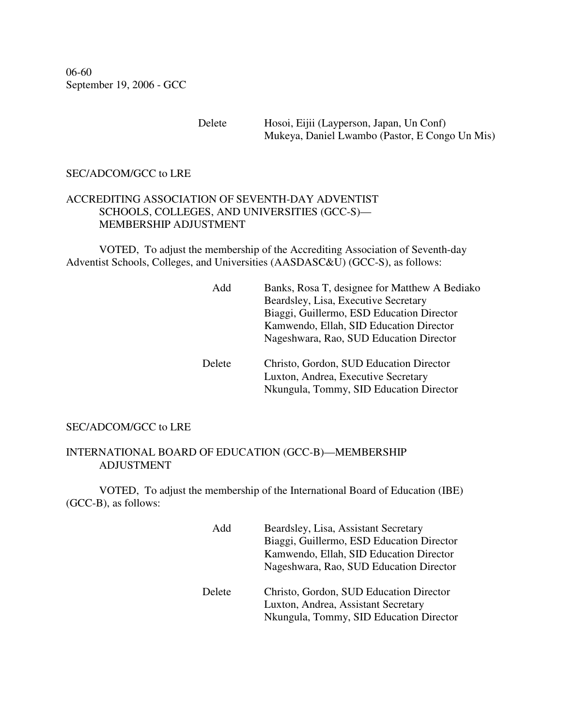06-60 September 19, 2006 - GCC

> Delete Hosoi, Eijii (Layperson, Japan, Un Conf) Mukeya, Daniel Lwambo (Pastor, E Congo Un Mis)

## SEC/ADCOM/GCC to LRE

# ACCREDITING ASSOCIATION OF SEVENTH-DAY ADVENTIST SCHOOLS, COLLEGES, AND UNIVERSITIES (GCC-S)— MEMBERSHIP ADJUSTMENT

VOTED, To adjust the membership of the Accrediting Association of Seventh-day Adventist Schools, Colleges, and Universities (AASDASC&U) (GCC-S), as follows:

| Add    | Banks, Rosa T, designee for Matthew A Bediako<br>Beardsley, Lisa, Executive Secretary<br>Biaggi, Guillermo, ESD Education Director<br>Kamwendo, Ellah, SID Education Director<br>Nageshwara, Rao, SUD Education Director |
|--------|--------------------------------------------------------------------------------------------------------------------------------------------------------------------------------------------------------------------------|
| Delete | Christo, Gordon, SUD Education Director<br>Luxton, Andrea, Executive Secretary<br>Nkungula, Tommy, SID Education Director                                                                                                |

#### SEC/ADCOM/GCC to LRE

## INTERNATIONAL BOARD OF EDUCATION (GCC-B)—MEMBERSHIP ADJUSTMENT

VOTED, To adjust the membership of the International Board of Education (IBE) (GCC-B), as follows:

| Add    | Beardsley, Lisa, Assistant Secretary<br>Biaggi, Guillermo, ESD Education Director<br>Kamwendo, Ellah, SID Education Director<br>Nageshwara, Rao, SUD Education Director |
|--------|-------------------------------------------------------------------------------------------------------------------------------------------------------------------------|
| Delete | Christo, Gordon, SUD Education Director<br>Luxton, Andrea, Assistant Secretary<br>Nkungula, Tommy, SID Education Director                                               |